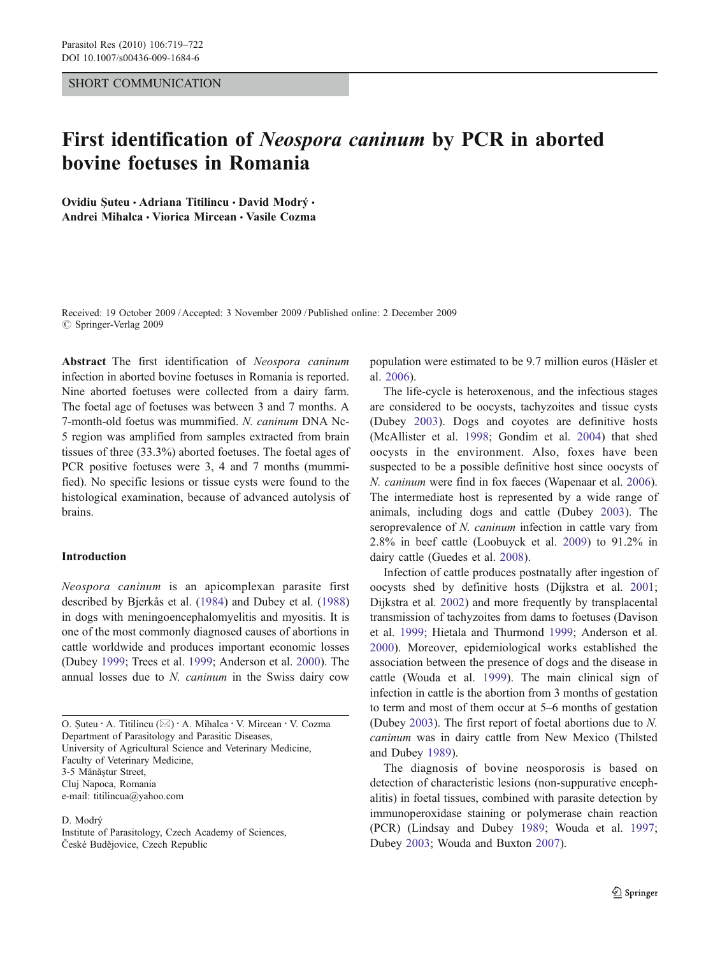## SHORT COMMUNICATION

# First identification of Neospora caninum by PCR in aborted bovine foetuses in Romania

Ovidiu Suteu · Adriana Titilincu · David Modrý · Andrei Mihalca · Viorica Mircean · Vasile Cozma

Received: 19 October 2009 /Accepted: 3 November 2009 / Published online: 2 December 2009 *#* Springer-Verlag 2009

Abstract The first identification of Neospora caninum infection in aborted bovine foetuses in Romania is reported. Nine aborted foetuses were collected from a dairy farm. The foetal age of foetuses was between 3 and 7 months. A 7-month-old foetus was mummified. N. caninum DNA Nc-5 region was amplified from samples extracted from brain tissues of three (33.3%) aborted foetuses. The foetal ages of PCR positive foetuses were 3, 4 and 7 months (mummified). No specific lesions or tissue cysts were found to the histological examination, because of advanced autolysis of brains.

#### Introduction

Neospora caninum is an apicomplexan parasite first described by Bjerkås et al. [\(1984](#page-2-0)) and Dubey et al. ([1988\)](#page-2-0) in dogs with meningoencephalomyelitis and myositis. It is one of the most commonly diagnosed causes of abortions in cattle worldwide and produces important economic losses (Dubey [1999;](#page-2-0) Trees et al. [1999;](#page-3-0) Anderson et al. [2000](#page-2-0)). The annual losses due to N. caninum in the Swiss dairy cow

O. <sup>Ş</sup>uteu : A. Titilincu (*\**) : A. Mihalca : V. Mircean : V. Cozma Department of Parasitology and Parasitic Diseases, University of Agricultural Science and Veterinary Medicine, Faculty of Veterinary Medicine, 3-5 Mănăştur Street, Cluj Napoca, Romania e-mail: titilincua@yahoo.com

D. Modrý

Institute of Parasitology, Czech Academy of Sciences, České Budějovice, Czech Republic

population were estimated to be 9.7 million euros (Häsler et al. [2006\)](#page-2-0).

The life-cycle is heteroxenous, and the infectious stages are considered to be oocysts, tachyzoites and tissue cysts (Dubey [2003\)](#page-2-0). Dogs and coyotes are definitive hosts (McAllister et al. [1998](#page-2-0); Gondim et al. [2004](#page-2-0)) that shed oocysts in the environment. Also, foxes have been suspected to be a possible definitive host since oocysts of N. caninum were find in fox faeces (Wapenaar et al. [2006\)](#page-3-0). The intermediate host is represented by a wide range of animals, including dogs and cattle (Dubey [2003](#page-2-0)). The seroprevalence of N. *caninum* infection in cattle vary from 2.8% in beef cattle (Loobuyck et al. [2009\)](#page-2-0) to 91.2% in dairy cattle (Guedes et al. [2008\)](#page-2-0).

Infection of cattle produces postnatally after ingestion of oocysts shed by definitive hosts (Dijkstra et al. [2001;](#page-2-0) Dijkstra et al. [2002](#page-2-0)) and more frequently by transplacental transmission of tachyzoites from dams to foetuses (Davison et al. [1999;](#page-2-0) Hietala and Thurmond [1999](#page-2-0); Anderson et al. [2000](#page-2-0)). Moreover, epidemiological works established the association between the presence of dogs and the disease in cattle (Wouda et al. [1999](#page-3-0)). The main clinical sign of infection in cattle is the abortion from 3 months of gestation to term and most of them occur at 5–6 months of gestation (Dubey [2003\)](#page-2-0). The first report of foetal abortions due to N. caninum was in dairy cattle from New Mexico (Thilsted and Dubey [1989\)](#page-3-0).

The diagnosis of bovine neosporosis is based on detection of characteristic lesions (non-suppurative encephalitis) in foetal tissues, combined with parasite detection by immunoperoxidase staining or polymerase chain reaction (PCR) (Lindsay and Dubey [1989;](#page-2-0) Wouda et al. [1997;](#page-3-0) Dubey [2003;](#page-2-0) Wouda and Buxton [2007](#page-3-0)).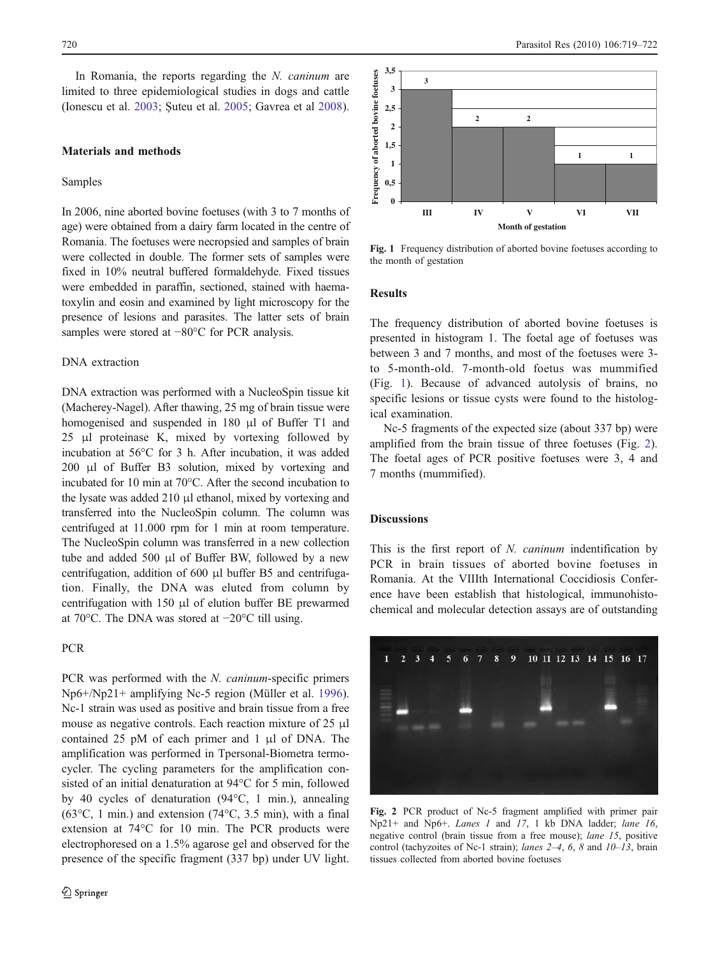In Romania, the reports regarding the N. caninum are limited to three epidemiological studies in dogs and cattle (Ionescu et al. [2003](#page-2-0); Şuteu et al. [2005;](#page-3-0) Gavrea et al [2008](#page-2-0)).

# Materials and methods

#### Samples

In 2006, nine aborted bovine foetuses (with 3 to 7 months of age) were obtained from a dairy farm located in the centre of Romania. The foetuses were necropsied and samples of brain were collected in double. The former sets of samples were fixed in 10% neutral buffered formaldehyde. Fixed tissues were embedded in paraffin, sectioned, stained with haematoxylin and eosin and examined by light microscopy for the presence of lesions and parasites. The latter sets of brain samples were stored at −80°C for PCR analysis.

## DNA extraction

DNA extraction was performed with a NucleoSpin tissue kit (Macherey-Nagel). After thawing, 25 mg of brain tissue were homogenised and suspended in 180 μl of Buffer T1 and 25 μl proteinase K, mixed by vortexing followed by incubation at 56°C for 3 h. After incubation, it was added 200 μl of Buffer B3 solution, mixed by vortexing and incubated for 10 min at 70°C. After the second incubation to the lysate was added 210 μl ethanol, mixed by vortexing and transferred into the NucleoSpin column. The column was centrifuged at 11.000 rpm for 1 min at room temperature. The NucleoSpin column was transferred in a new collection tube and added 500 μl of Buffer BW, followed by a new centrifugation, addition of 600 μl buffer B5 and centrifugation. Finally, the DNA was eluted from column by centrifugation with 150 μl of elution buffer BE prewarmed at 70°C. The DNA was stored at −20°C till using.

## PCR

PCR was performed with the *N. caninum*-specific primers Np6+/Np21+ amplifying Nc-5 region (Müller et al. [1996](#page-3-0)). Nc-1 strain was used as positive and brain tissue from a free mouse as negative controls. Each reaction mixture of 25 μl contained 25 pM of each primer and 1 μl of DNA. The amplification was performed in Tpersonal-Biometra termocycler. The cycling parameters for the amplification consisted of an initial denaturation at 94°C for 5 min, followed by 40 cycles of denaturation (94°C, 1 min.), annealing ( $63^{\circ}$ C, 1 min.) and extension ( $74^{\circ}$ C, 3.5 min), with a final extension at 74°C for 10 min. The PCR products were electrophoresed on a 1.5% agarose gel and observed for the presence of the specific fragment (337 bp) under UV light.



Fig. 1 Frequency distribution of aborted bovine foetuses according to the month of gestation

## Results

The frequency distribution of aborted bovine foetuses is presented in histogram 1. The foetal age of foetuses was between 3 and 7 months, and most of the foetuses were 3 to 5-month-old. 7-month-old foetus was mummified (Fig. 1). Because of advanced autolysis of brains, no specific lesions or tissue cysts were found to the histological examination.

Nc-5 fragments of the expected size (about 337 bp) were amplified from the brain tissue of three foetuses (Fig. 2). The foetal ages of PCR positive foetuses were 3, 4 and 7 months (mummified).

## **Discussions**

This is the first report of N. caninum indentification by PCR in brain tissues of aborted bovine foetuses in Romania. At the VIIIth International Coccidiosis Conference have been establish that histological, immunohistochemical and molecular detection assays are of outstanding



Fig. 2 PCR product of Nc-5 fragment amplified with primer pair Np21+ and Np6+. Lanes 1 and 17, 1 kb DNA ladder; lane 16, negative control (brain tissue from a free mouse); lane 15, positive control (tachyzoites of Nc-1 strain); lanes  $2-4$ , 6, 8 and  $10-13$ , brain tissues collected from aborted bovine foetuses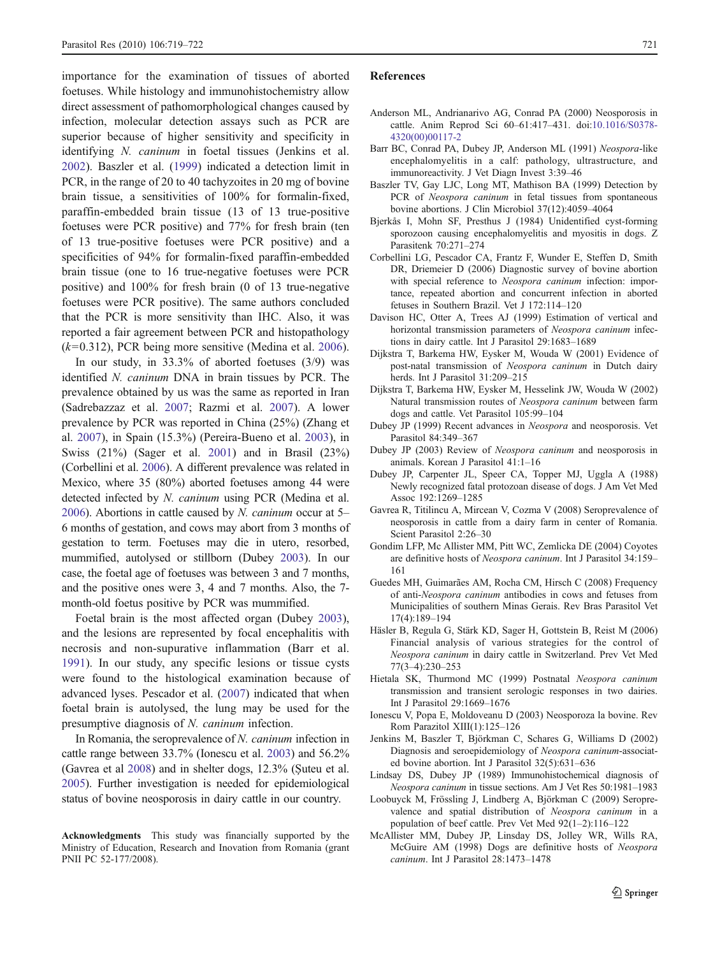<span id="page-2-0"></span>importance for the examination of tissues of aborted foetuses. While histology and immunohistochemistry allow direct assessment of pathomorphological changes caused by infection, molecular detection assays such as PCR are superior because of higher sensitivity and specificity in identifying N. caninum in foetal tissues (Jenkins et al. 2002). Baszler et al. (1999) indicated a detection limit in PCR, in the range of 20 to 40 tachyzoites in 20 mg of bovine brain tissue, a sensitivities of 100% for formalin-fixed, paraffin-embedded brain tissue (13 of 13 true-positive foetuses were PCR positive) and 77% for fresh brain (ten of 13 true-positive foetuses were PCR positive) and a specificities of 94% for formalin-fixed paraffin-embedded brain tissue (one to 16 true-negative foetuses were PCR positive) and 100% for fresh brain (0 of 13 true-negative foetuses were PCR positive). The same authors concluded that the PCR is more sensitivity than IHC. Also, it was reported a fair agreement between PCR and histopathology  $(k=0.312)$ , PCR being more sensitive (Medina et al. [2006](#page-3-0)).

In our study, in 33.3% of aborted foetuses (3/9) was identified N. caninum DNA in brain tissues by PCR. The prevalence obtained by us was the same as reported in Iran (Sadrebazzaz et al. [2007](#page-3-0); Razmi et al. [2007\)](#page-3-0). A lower prevalence by PCR was reported in China (25%) (Zhang et al. [2007\)](#page-3-0), in Spain (15.3%) (Pereira-Bueno et al. [2003](#page-3-0)), in Swiss (21%) (Sager et al. [2001](#page-3-0)) and in Brasil (23%) (Corbellini et al. 2006). A different prevalence was related in Mexico, where 35 (80%) aborted foetuses among 44 were detected infected by N. caninum using PCR (Medina et al. [2006\)](#page-3-0). Abortions in cattle caused by N. *caninum* occur at  $5-$ 6 months of gestation, and cows may abort from 3 months of gestation to term. Foetuses may die in utero, resorbed, mummified, autolysed or stillborn (Dubey 2003). In our case, the foetal age of foetuses was between 3 and 7 months, and the positive ones were 3, 4 and 7 months. Also, the 7 month-old foetus positive by PCR was mummified.

Foetal brain is the most affected organ (Dubey 2003), and the lesions are represented by focal encephalitis with necrosis and non-supurative inflammation (Barr et al. 1991). In our study, any specific lesions or tissue cysts were found to the histological examination because of advanced lyses. Pescador et al. [\(2007](#page-3-0)) indicated that when foetal brain is autolysed, the lung may be used for the presumptive diagnosis of N. caninum infection.

In Romania, the seroprevalence of N. caninum infection in cattle range between 33.7% (Ionescu et al. 2003) and 56.2% (Gavrea et al 2008) and in shelter dogs, 12.3% (Şuteu et al. [2005\)](#page-3-0). Further investigation is needed for epidemiological status of bovine neosporosis in dairy cattle in our country.

#### References

- Anderson ML, Andrianarivo AG, Conrad PA (2000) Neosporosis in cattle. Anim Reprod Sci 60–61:417–431. doi[:10.1016/S0378-](http://dx.doi.org/10.1016/S0378-4320(00)00117-2) [4320\(00\)00117-2](http://dx.doi.org/10.1016/S0378-4320(00)00117-2)
- Barr BC, Conrad PA, Dubey JP, Anderson ML (1991) Neospora-like encephalomyelitis in a calf: pathology, ultrastructure, and immunoreactivity. J Vet Diagn Invest 3:39–46
- Baszler TV, Gay LJC, Long MT, Mathison BA (1999) Detection by PCR of Neospora caninum in fetal tissues from spontaneous bovine abortions. J Clin Microbiol 37(12):4059–4064
- Bjerkås I, Mohn SF, Presthus J (1984) Unidentified cyst-forming sporozoon causing encephalomyelitis and myositis in dogs. Z Parasitenk 70:271–274
- Corbellini LG, Pescador CA, Frantz F, Wunder E, Steffen D, Smith DR, Driemeier D (2006) Diagnostic survey of bovine abortion with special reference to Neospora caninum infection: importance, repeated abortion and concurrent infection in aborted fetuses in Southern Brazil. Vet J 172:114–120
- Davison HC, Otter A, Trees AJ (1999) Estimation of vertical and horizontal transmission parameters of Neospora caninum infections in dairy cattle. Int J Parasitol 29:1683–1689
- Dijkstra T, Barkema HW, Eysker M, Wouda W (2001) Evidence of post-natal transmission of Neospora caninum in Dutch dairy herds. Int J Parasitol 31:209–215
- Dijkstra T, Barkema HW, Eysker M, Hesselink JW, Wouda W (2002) Natural transmission routes of Neospora caninum between farm dogs and cattle. Vet Parasitol 105:99–104
- Dubey JP (1999) Recent advances in Neospora and neosporosis. Vet Parasitol 84:349–367
- Dubey JP (2003) Review of Neospora caninum and neosporosis in animals. Korean J Parasitol 41:1–16
- Dubey JP, Carpenter JL, Speer CA, Topper MJ, Uggla A (1988) Newly recognized fatal protozoan disease of dogs. J Am Vet Med Assoc 192:1269–1285
- Gavrea R, Titilincu A, Mircean V, Cozma V (2008) Seroprevalence of neosporosis in cattle from a dairy farm in center of Romania. Scient Parasitol 2:26–30
- Gondim LFP, Mc Allister MM, Pitt WC, Zemlicka DE (2004) Coyotes are definitive hosts of Neospora caninum. Int J Parasitol 34:159– 161
- Guedes MH, Guimarães AM, Rocha CM, Hirsch C (2008) Frequency of anti-Neospora caninum antibodies in cows and fetuses from Municipalities of southern Minas Gerais. Rev Bras Parasitol Vet 17(4):189–194
- Häsler B, Regula G, Stärk KD, Sager H, Gottstein B, Reist M (2006) Financial analysis of various strategies for the control of Neospora caninum in dairy cattle in Switzerland. Prev Vet Med 77(3–4):230–253
- Hietala SK, Thurmond MC (1999) Postnatal Neospora caninum transmission and transient serologic responses in two dairies. Int J Parasitol 29:1669–1676
- Ionescu V, Popa E, Moldoveanu D (2003) Neosporoza la bovine. Rev Rom Parazitol XIII(1):125–126
- Jenkins M, Baszler T, Björkman C, Schares G, Williams D (2002) Diagnosis and seroepidemiology of Neospora caninum-associated bovine abortion. Int J Parasitol 32(5):631–636
- Lindsay DS, Dubey JP (1989) Immunohistochemical diagnosis of Neospora caninum in tissue sections. Am J Vet Res 50:1981–1983
- Loobuyck M, Frössling J, Lindberg A, Björkman C (2009) Seroprevalence and spatial distribution of Neospora caninum in a population of beef cattle. Prev Vet Med 92(1–2):116–122
- McAllister MM, Dubey JP, Linsday DS, Jolley WR, Wills RA, McGuire AM (1998) Dogs are definitive hosts of Neospora caninum. Int J Parasitol 28:1473–1478

Acknowledgments This study was financially supported by the Ministry of Education, Research and Inovation from Romania (grant PNII PC 52-177/2008).